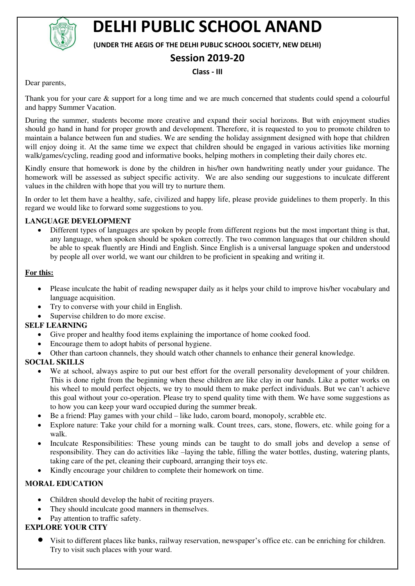

# **DELHI PUBLIC SCHOOL ANAND**

**(UNDER THE AEGIS OF THE DELHI PUBLIC SCHOOL SOCIETY, NEW DELHI)** 

## **Session 2019-20**

#### **Class - III**

Dear parents,

Thank you for your care & support for a long time and we are much concerned that students could spend a colourful and happy Summer Vacation.

During the summer, students become more creative and expand their social horizons. But with enjoyment studies should go hand in hand for proper growth and development. Therefore, it is requested to you to promote children to maintain a balance between fun and studies. We are sending the holiday assignment designed with hope that children will enjoy doing it. At the same time we expect that children should be engaged in various activities like morning walk/games/cycling, reading good and informative books, helping mothers in completing their daily chores etc.

Kindly ensure that homework is done by the children in his/her own handwriting neatly under your guidance. The homework will be assessed as subject specific activity. We are also sending our suggestions to inculcate different values in the children with hope that you will try to nurture them.

In order to let them have a healthy, safe, civilized and happy life, please provide guidelines to them properly. In this regard we would like to forward some suggestions to you.

#### **LANGUAGE DEVELOPMENT**

 Different types of languages are spoken by people from different regions but the most important thing is that, any language, when spoken should be spoken correctly. The two common languages that our children should be able to speak fluently are Hindi and English. Since English is a universal language spoken and understood by people all over world, we want our children to be proficient in speaking and writing it.

#### **For this:**

- Please inculcate the habit of reading newspaper daily as it helps your child to improve his/her vocabulary and language acquisition.
- Try to converse with your child in English.
- Supervise children to do more excise.

#### **SELF LEARNING**

- Give proper and healthy food items explaining the importance of home cooked food.
- Encourage them to adopt habits of personal hygiene.
- Other than cartoon channels, they should watch other channels to enhance their general knowledge.

#### **SOCIAL SKILLS**

- We at school, always aspire to put our best effort for the overall personality development of your children. This is done right from the beginning when these children are like clay in our hands. Like a potter works on his wheel to mould perfect objects, we try to mould them to make perfect individuals. But we can't achieve this goal without your co-operation. Please try to spend quality time with them. We have some suggestions as to how you can keep your ward occupied during the summer break.
- Be a friend: Play games with your child like ludo, carom board, monopoly, scrabble etc.
- Explore nature: Take your child for a morning walk. Count trees, cars, stone, flowers, etc. while going for a walk.
- Inculcate Responsibilities: These young minds can be taught to do small jobs and develop a sense of responsibility. They can do activities like –laying the table, filling the water bottles, dusting, watering plants, taking care of the pet, cleaning their cupboard, arranging their toys etc.
- Kindly encourage your children to complete their homework on time.

### **MORAL EDUCATION**

- Children should develop the habit of reciting prayers.
- They should inculcate good manners in themselves.
- Pay attention to traffic safety.

#### **EXPLORE YOUR CITY**

 Visit to different places like banks, railway reservation, newspaper's office etc. can be enriching for children. Try to visit such places with your ward.